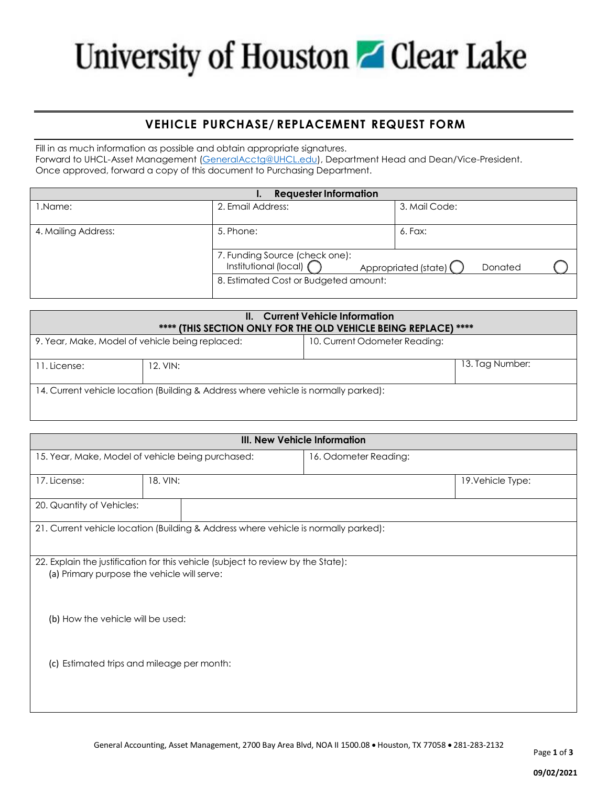# University of Houston Glear Lake

### **VEHICLE PURCHASE/ REPLACEMENT REQUEST FORM**

Fill in as much information as possible and obtain appropriate signatures. Forward to UHCL-Asset Management [\(GeneralAcctg@UHCL.edu\)](mailto:GeneralAcctg@UHCL.edu), Department Head and Dean/Vice-President. Once approved, forward a copy of this document to Purchasing Department.

| <b>Requester Information</b> |                                                           |                                   |  |
|------------------------------|-----------------------------------------------------------|-----------------------------------|--|
| 1.Name:                      | 2. Email Address:                                         | 3. Mail Code:                     |  |
|                              |                                                           |                                   |  |
| 4. Mailing Address:          | 5. Phone:                                                 | 6. Fax:                           |  |
|                              |                                                           |                                   |  |
|                              | 7. Funding Source (check one):<br>Institutional (local) ( |                                   |  |
|                              |                                                           | Appropriated (state) (<br>Donated |  |
|                              | 8. Estimated Cost or Budgeted amount:                     |                                   |  |
|                              |                                                           |                                   |  |

| <b>Current Vehicle Information</b><br>Ш.<br>**** (THIS SECTION ONLY FOR THE OLD VEHICLE BEING REPLACE) **** |          |                               |                 |
|-------------------------------------------------------------------------------------------------------------|----------|-------------------------------|-----------------|
| 9. Year, Make, Model of vehicle being replaced:                                                             |          | 10. Current Odometer Reading: |                 |
| 11. License:                                                                                                | 12. VIN: |                               | 13. Tag Number: |
| 14. Current vehicle location (Building & Address where vehicle is normally parked):                         |          |                               |                 |

| III. New Vehicle Information      |                                                                                                                                 |                       |                   |
|-----------------------------------|---------------------------------------------------------------------------------------------------------------------------------|-----------------------|-------------------|
|                                   | 15. Year, Make, Model of vehicle being purchased:                                                                               | 16. Odometer Reading: |                   |
| 17. License:                      | 18. VIN:                                                                                                                        |                       | 19. Vehicle Type: |
| 20. Quantity of Vehicles:         |                                                                                                                                 |                       |                   |
|                                   | 21. Current vehicle location (Building & Address where vehicle is normally parked):                                             |                       |                   |
|                                   |                                                                                                                                 |                       |                   |
|                                   | 22. Explain the justification for this vehicle (subject to review by the State):<br>(a) Primary purpose the vehicle will serve: |                       |                   |
|                                   |                                                                                                                                 |                       |                   |
| (b) How the vehicle will be used: |                                                                                                                                 |                       |                   |
|                                   |                                                                                                                                 |                       |                   |
| (c)                               | Estimated trips and mileage per month:                                                                                          |                       |                   |
|                                   |                                                                                                                                 |                       |                   |
|                                   |                                                                                                                                 |                       |                   |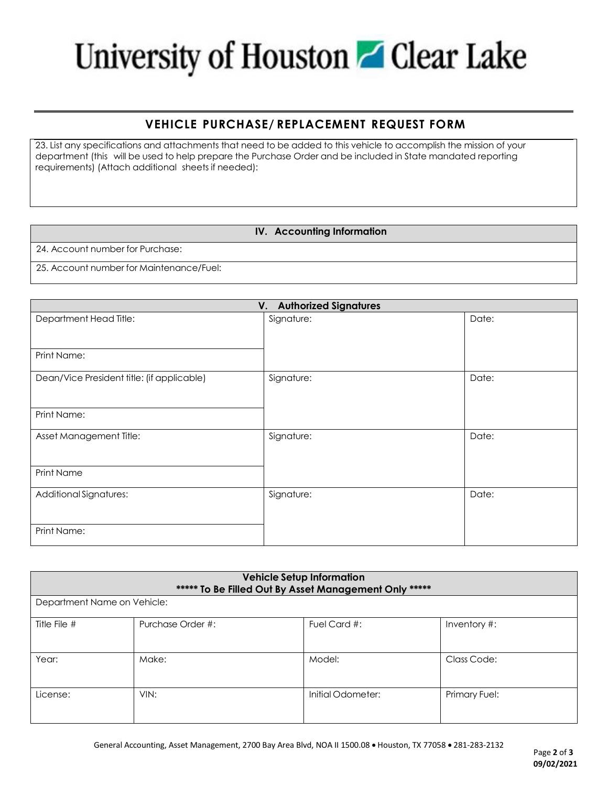# University of Houston Glear Lake

### **VEHICLE PURCHASE/ REPLACEMENT REQUEST FORM**

23. List any specifications and attachments that need to be added to this vehicle to accomplish the mission of your department (this will be used to help prepare the Purchase Order and be included in State mandated reporting requirements) (Attach additional sheets if needed):

#### **IV. Accounting Information**

24. Account number for Purchase:

25. Account number for Maintenance/Fuel:

| <b>Authorized Signatures</b><br>V.         |            |       |
|--------------------------------------------|------------|-------|
| Department Head Title:                     | Signature: | Date: |
| Print Name:                                |            |       |
| Dean/Vice President title: (if applicable) | Signature: | Date: |
| Print Name:                                |            |       |
| Asset Management Title:                    | Signature: | Date: |
| Print Name                                 |            |       |
| Additional Signatures:                     | Signature: | Date: |
| Print Name:                                |            |       |

| <b>Vehicle Setup Information</b><br>***** To Be Filled Out By Asset Management Only ***** |                   |                   |                  |
|-------------------------------------------------------------------------------------------|-------------------|-------------------|------------------|
| Department Name on Vehicle:                                                               |                   |                   |                  |
| Title File #                                                                              | Purchase Order #: | Fuel Card #:      | Inventory $\#$ : |
| Year:                                                                                     | Make:             | Model:            | Class Code:      |
| License:                                                                                  | VIN:              | Initial Odometer: | Primary Fuel:    |